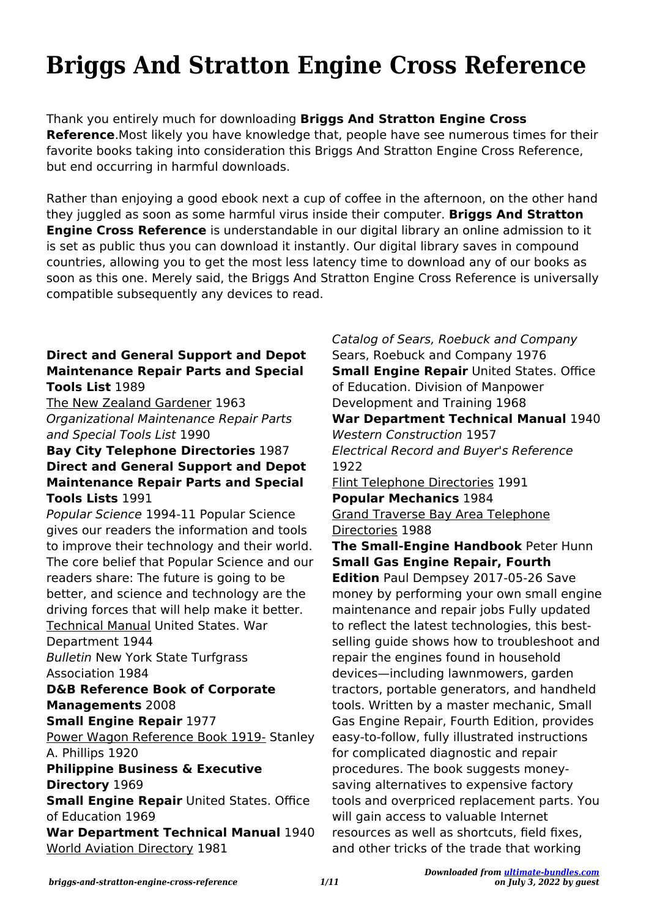## **Briggs And Stratton Engine Cross Reference**

Thank you entirely much for downloading **Briggs And Stratton Engine Cross Reference**.Most likely you have knowledge that, people have see numerous times for their favorite books taking into consideration this Briggs And Stratton Engine Cross Reference, but end occurring in harmful downloads.

Rather than enjoying a good ebook next a cup of coffee in the afternoon, on the other hand they juggled as soon as some harmful virus inside their computer. **Briggs And Stratton Engine Cross Reference** is understandable in our digital library an online admission to it is set as public thus you can download it instantly. Our digital library saves in compound countries, allowing you to get the most less latency time to download any of our books as soon as this one. Merely said, the Briggs And Stratton Engine Cross Reference is universally compatible subsequently any devices to read.

## **Direct and General Support and Depot Maintenance Repair Parts and Special Tools List** 1989

The New Zealand Gardener 1963 Organizational Maintenance Repair Parts and Special Tools List 1990

## **Bay City Telephone Directories** 1987 **Direct and General Support and Depot Maintenance Repair Parts and Special Tools Lists** 1991

Popular Science 1994-11 Popular Science gives our readers the information and tools to improve their technology and their world. The core belief that Popular Science and our readers share: The future is going to be better, and science and technology are the driving forces that will help make it better. Technical Manual United States. War Department 1944 Bulletin New York State Turfgrass Association 1984 **D&B Reference Book of Corporate Managements** 2008 **Small Engine Repair** 1977 Power Wagon Reference Book 1919- Stanley A. Phillips 1920 **Philippine Business & Executive Directory** 1969

**Small Engine Repair** United States. Office of Education 1969

**War Department Technical Manual** 1940 World Aviation Directory 1981

Sears, Roebuck and Company 1976 **Small Engine Repair** United States. Office of Education. Division of Manpower Development and Training 1968 **War Department Technical Manual** 1940 Western Construction 1957 Electrical Record and Buyer's Reference 1922 Flint Telephone Directories 1991 **Popular Mechanics** 1984 Grand Traverse Bay Area Telephone Directories 1988 **The Small-Engine Handbook** Peter Hunn **Small Gas Engine Repair, Fourth Edition** Paul Dempsey 2017-05-26 Save money by performing your own small engine maintenance and repair jobs Fully updated to reflect the latest technologies, this bestselling guide shows how to troubleshoot and repair the engines found in household devices—including lawnmowers, garden tractors, portable generators, and handheld tools. Written by a master mechanic, Small Gas Engine Repair, Fourth Edition, provides easy-to-follow, fully illustrated instructions for complicated diagnostic and repair procedures. The book suggests moneysaving alternatives to expensive factory tools and overpriced replacement parts. You will gain access to valuable Internet resources as well as shortcuts, field fixes, and other tricks of the trade that working

Catalog of Sears, Roebuck and Company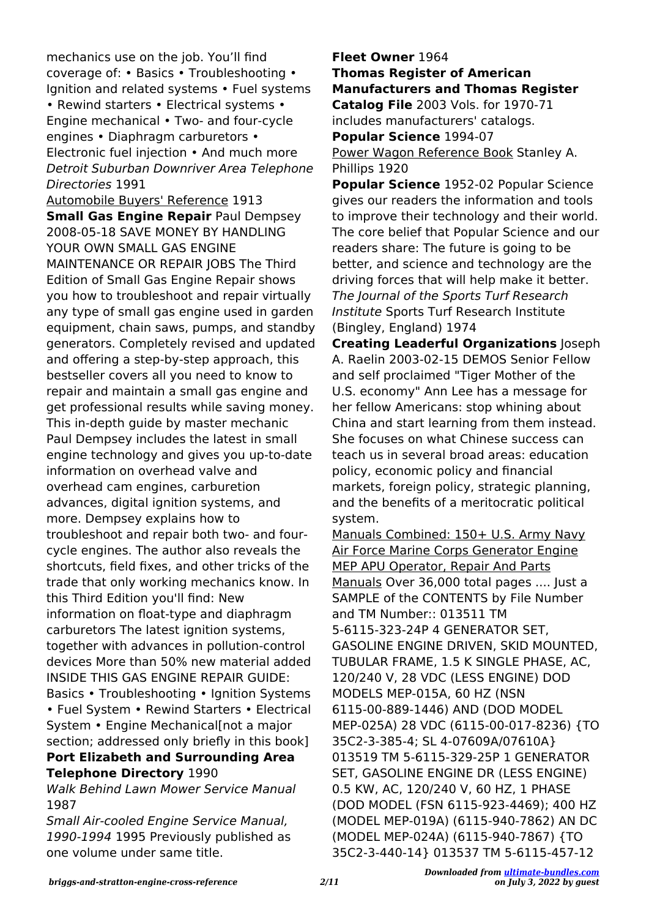mechanics use on the job. You'll find coverage of: • Basics • Troubleshooting • Ignition and related systems • Fuel systems • Rewind starters • Electrical systems • Engine mechanical • Two- and four-cycle engines • Diaphragm carburetors • Electronic fuel injection • And much more Detroit Suburban Downriver Area Telephone Directories 1991

Automobile Buyers' Reference 1913 **Small Gas Engine Repair Paul Dempsey** 2008-05-18 SAVE MONEY BY HANDLING YOUR OWN SMALL GAS ENGINE MAINTENANCE OR REPAIR JOBS The Third Edition of Small Gas Engine Repair shows you how to troubleshoot and repair virtually any type of small gas engine used in garden equipment, chain saws, pumps, and standby generators. Completely revised and updated and offering a step-by-step approach, this bestseller covers all you need to know to repair and maintain a small gas engine and get professional results while saving money. This in-depth guide by master mechanic Paul Dempsey includes the latest in small engine technology and gives you up-to-date information on overhead valve and overhead cam engines, carburetion advances, digital ignition systems, and more. Dempsey explains how to troubleshoot and repair both two- and fourcycle engines. The author also reveals the shortcuts, field fixes, and other tricks of the trade that only working mechanics know. In this Third Edition you'll find: New information on float-type and diaphragm carburetors The latest ignition systems, together with advances in pollution-control devices More than 50% new material added INSIDE THIS GAS ENGINE REPAIR GUIDE: Basics • Troubleshooting • Ignition Systems • Fuel System • Rewind Starters • Electrical System • Engine Mechanical[not a major section; addressed only briefly in this book] **Port Elizabeth and Surrounding Area Telephone Directory** 1990

Walk Behind Lawn Mower Service Manual 1987

Small Air-cooled Engine Service Manual, 1990-1994 1995 Previously published as one volume under same title.

**Fleet Owner** 1964

**Thomas Register of American Manufacturers and Thomas Register Catalog File** 2003 Vols. for 1970-71 includes manufacturers' catalogs. **Popular Science** 1994-07 Power Wagon Reference Book Stanley A.

Phillips 1920

**Popular Science** 1952-02 Popular Science gives our readers the information and tools to improve their technology and their world. The core belief that Popular Science and our readers share: The future is going to be better, and science and technology are the driving forces that will help make it better. The Journal of the Sports Turf Research Institute Sports Turf Research Institute (Bingley, England) 1974

**Creating Leaderful Organizations** Joseph A. Raelin 2003-02-15 DEMOS Senior Fellow and self proclaimed "Tiger Mother of the U.S. economy" Ann Lee has a message for her fellow Americans: stop whining about China and start learning from them instead. She focuses on what Chinese success can teach us in several broad areas: education policy, economic policy and financial markets, foreign policy, strategic planning, and the benefits of a meritocratic political system.

Manuals Combined: 150+ U.S. Army Navy Air Force Marine Corps Generator Engine MEP APU Operator, Repair And Parts Manuals Over 36,000 total pages .... Just a SAMPLE of the CONTENTS by File Number and TM Number:: 013511 TM 5-6115-323-24P 4 GENERATOR SET, GASOLINE ENGINE DRIVEN, SKID MOUNTED, TUBULAR FRAME, 1.5 K SINGLE PHASE, AC, 120/240 V, 28 VDC (LESS ENGINE) DOD MODELS MEP-015A, 60 HZ (NSN 6115-00-889-1446) AND (DOD MODEL MEP-025A) 28 VDC (6115-00-017-8236) {TO 35C2-3-385-4; SL 4-07609A/07610A} 013519 TM 5-6115-329-25P 1 GENERATOR SET, GASOLINE ENGINE DR (LESS ENGINE) 0.5 KW, AC, 120/240 V, 60 HZ, 1 PHASE (DOD MODEL (FSN 6115-923-4469); 400 HZ (MODEL MEP-019A) (6115-940-7862) AN DC (MODEL MEP-024A) (6115-940-7867) {TO 35C2-3-440-14} 013537 TM 5-6115-457-12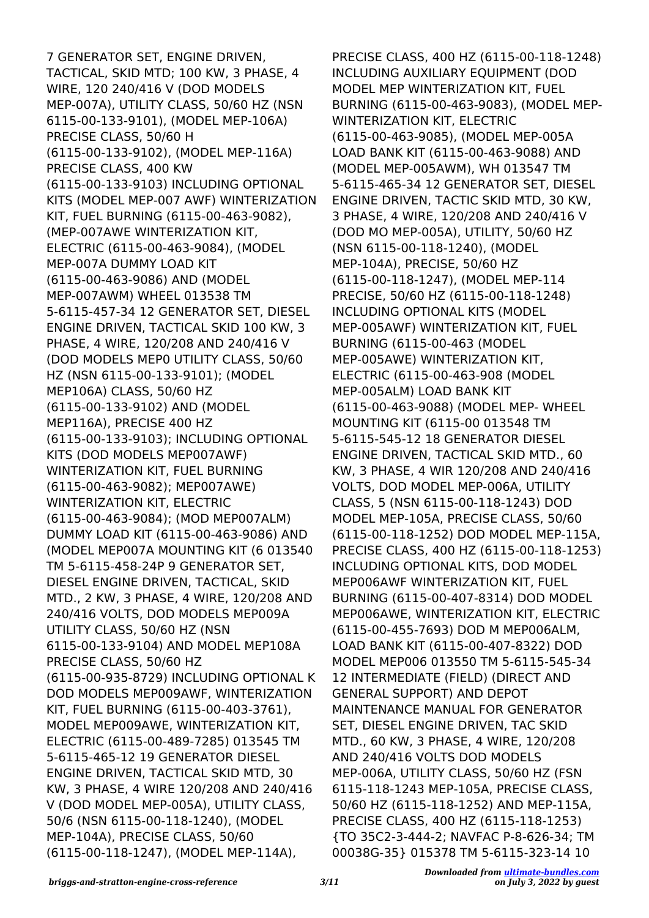7 GENERATOR SET, ENGINE DRIVEN, TACTICAL, SKID MTD; 100 KW, 3 PHASE, 4 WIRE, 120 240/416 V (DOD MODELS MEP-007A), UTILITY CLASS, 50/60 HZ (NSN 6115-00-133-9101), (MODEL MEP-106A) PRECISE CLASS, 50/60 H (6115-00-133-9102), (MODEL MEP-116A) PRECISE CLASS, 400 KW (6115-00-133-9103) INCLUDING OPTIONAL KITS (MODEL MEP-007 AWF) WINTERIZATION KIT, FUEL BURNING (6115-00-463-9082), (MEP-007AWE WINTERIZATION KIT, ELECTRIC (6115-00-463-9084), (MODEL MEP-007A DUMMY LOAD KIT (6115-00-463-9086) AND (MODEL MEP-007AWM) WHEEL 013538 TM 5-6115-457-34 12 GENERATOR SET, DIESEL ENGINE DRIVEN, TACTICAL SKID 100 KW, 3 PHASE, 4 WIRE, 120/208 AND 240/416 V (DOD MODELS MEP0 UTILITY CLASS, 50/60 HZ (NSN 6115-00-133-9101); (MODEL MEP106A) CLASS, 50/60 HZ (6115-00-133-9102) AND (MODEL MEP116A), PRECISE 400 HZ (6115-00-133-9103); INCLUDING OPTIONAL KITS (DOD MODELS MEP007AWF) WINTERIZATION KIT, FUEL BURNING (6115-00-463-9082); MEP007AWE) WINTERIZATION KIT, ELECTRIC (6115-00-463-9084); (MOD MEP007ALM) DUMMY LOAD KIT (6115-00-463-9086) AND (MODEL MEP007A MOUNTING KIT (6 013540 TM 5-6115-458-24P 9 GENERATOR SET, DIESEL ENGINE DRIVEN, TACTICAL, SKID MTD., 2 KW, 3 PHASE, 4 WIRE, 120/208 AND 240/416 VOLTS, DOD MODELS MEP009A UTILITY CLASS, 50/60 HZ (NSN 6115-00-133-9104) AND MODEL MEP108A PRECISE CLASS, 50/60 HZ (6115-00-935-8729) INCLUDING OPTIONAL K DOD MODELS MEP009AWF, WINTERIZATION KIT, FUEL BURNING (6115-00-403-3761), MODEL MEP009AWE, WINTERIZATION KIT, ELECTRIC (6115-00-489-7285) 013545 TM 5-6115-465-12 19 GENERATOR DIESEL ENGINE DRIVEN, TACTICAL SKID MTD, 30 KW, 3 PHASE, 4 WIRE 120/208 AND 240/416 V (DOD MODEL MEP-005A), UTILITY CLASS, 50/6 (NSN 6115-00-118-1240), (MODEL MEP-104A), PRECISE CLASS, 50/60 (6115-00-118-1247), (MODEL MEP-114A),

PRECISE CLASS, 400 HZ (6115-00-118-1248) INCLUDING AUXILIARY EQUIPMENT (DOD MODEL MEP WINTERIZATION KIT, FUEL BURNING (6115-00-463-9083), (MODEL MEP-WINTERIZATION KIT, ELECTRIC (6115-00-463-9085), (MODEL MEP-005A LOAD BANK KIT (6115-00-463-9088) AND (MODEL MEP-005AWM), WH 013547 TM 5-6115-465-34 12 GENERATOR SET, DIESEL ENGINE DRIVEN, TACTIC SKID MTD, 30 KW, 3 PHASE, 4 WIRE, 120/208 AND 240/416 V (DOD MO MEP-005A), UTILITY, 50/60 HZ (NSN 6115-00-118-1240), (MODEL MEP-104A), PRECISE, 50/60 HZ (6115-00-118-1247), (MODEL MEP-114 PRECISE, 50/60 HZ (6115-00-118-1248) INCLUDING OPTIONAL KITS (MODEL MEP-005AWF) WINTERIZATION KIT, FUEL BURNING (6115-00-463 (MODEL MEP-005AWE) WINTERIZATION KIT, ELECTRIC (6115-00-463-908 (MODEL MEP-005ALM) LOAD BANK KIT (6115-00-463-9088) (MODEL MEP- WHEEL MOUNTING KIT (6115-00 013548 TM 5-6115-545-12 18 GENERATOR DIESEL ENGINE DRIVEN, TACTICAL SKID MTD., 60 KW, 3 PHASE, 4 WIR 120/208 AND 240/416 VOLTS, DOD MODEL MEP-006A, UTILITY CLASS, 5 (NSN 6115-00-118-1243) DOD MODEL MEP-105A, PRECISE CLASS, 50/60 (6115-00-118-1252) DOD MODEL MEP-115A, PRECISE CLASS, 400 HZ (6115-00-118-1253) INCLUDING OPTIONAL KITS, DOD MODEL MEP006AWF WINTERIZATION KIT, FUEL BURNING (6115-00-407-8314) DOD MODEL MEP006AWE, WINTERIZATION KIT, ELECTRIC (6115-00-455-7693) DOD M MEP006ALM, LOAD BANK KIT (6115-00-407-8322) DOD MODEL MEP006 013550 TM 5-6115-545-34 12 INTERMEDIATE (FIELD) (DIRECT AND GENERAL SUPPORT) AND DEPOT MAINTENANCE MANUAL FOR GENERATOR SET, DIESEL ENGINE DRIVEN, TAC SKID MTD., 60 KW, 3 PHASE, 4 WIRE, 120/208 AND 240/416 VOLTS DOD MODELS MEP-006A, UTILITY CLASS, 50/60 HZ (FSN 6115-118-1243 MEP-105A, PRECISE CLASS, 50/60 HZ (6115-118-1252) AND MEP-115A, PRECISE CLASS, 400 HZ (6115-118-1253) {TO 35C2-3-444-2; NAVFAC P-8-626-34; TM 00038G-35} 015378 TM 5-6115-323-14 10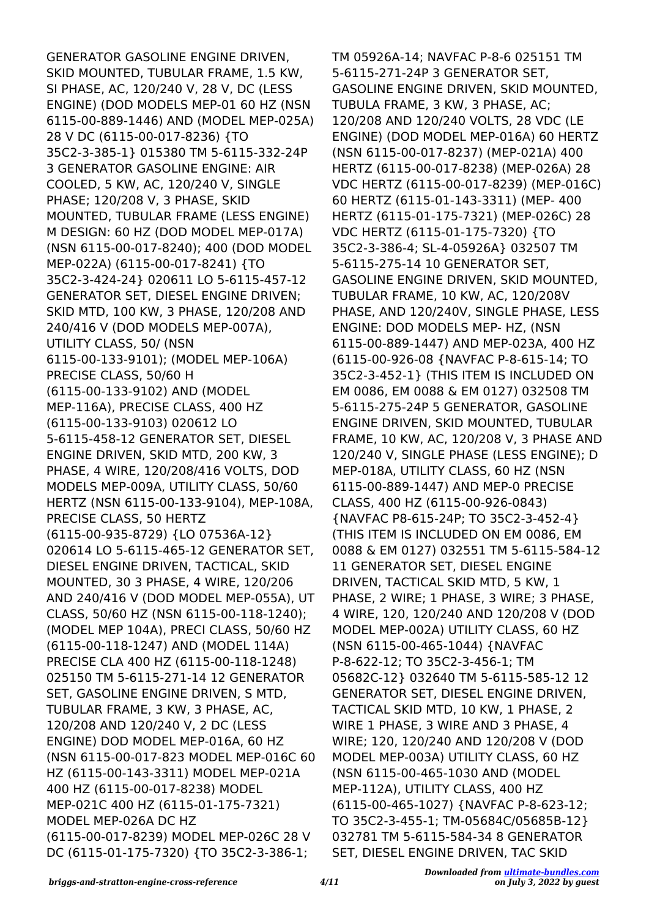GENERATOR GASOLINE ENGINE DRIVEN, SKID MOUNTED, TUBULAR FRAME, 1.5 KW, SI PHASE, AC, 120/240 V, 28 V, DC (LESS ENGINE) (DOD MODELS MEP-01 60 HZ (NSN 6115-00-889-1446) AND (MODEL MEP-025A) 28 V DC (6115-00-017-8236) {TO 35C2-3-385-1} 015380 TM 5-6115-332-24P 3 GENERATOR GASOLINE ENGINE: AIR COOLED, 5 KW, AC, 120/240 V, SINGLE PHASE; 120/208 V, 3 PHASE, SKID MOUNTED, TUBULAR FRAME (LESS ENGINE) M DESIGN: 60 HZ (DOD MODEL MEP-017A) (NSN 6115-00-017-8240); 400 (DOD MODEL MEP-022A) (6115-00-017-8241) {TO 35C2-3-424-24} 020611 LO 5-6115-457-12 GENERATOR SET, DIESEL ENGINE DRIVEN; SKID MTD, 100 KW, 3 PHASE, 120/208 AND 240/416 V (DOD MODELS MEP-007A), UTILITY CLASS, 50/ (NSN 6115-00-133-9101); (MODEL MEP-106A) PRECISE CLASS, 50/60 H (6115-00-133-9102) AND (MODEL MEP-116A), PRECISE CLASS, 400 HZ (6115-00-133-9103) 020612 LO 5-6115-458-12 GENERATOR SET, DIESEL ENGINE DRIVEN, SKID MTD, 200 KW, 3 PHASE, 4 WIRE, 120/208/416 VOLTS, DOD MODELS MEP-009A, UTILITY CLASS, 50/60 HERTZ (NSN 6115-00-133-9104), MEP-108A, PRECISE CLASS, 50 HERTZ (6115-00-935-8729) {LO 07536A-12} 020614 LO 5-6115-465-12 GENERATOR SET, DIESEL ENGINE DRIVEN, TACTICAL, SKID MOUNTED, 30 3 PHASE, 4 WIRE, 120/206 AND 240/416 V (DOD MODEL MEP-055A), UT CLASS, 50/60 HZ (NSN 6115-00-118-1240); (MODEL MEP 104A), PRECI CLASS, 50/60 HZ (6115-00-118-1247) AND (MODEL 114A) PRECISE CLA 400 HZ (6115-00-118-1248) 025150 TM 5-6115-271-14 12 GENERATOR SET, GASOLINE ENGINE DRIVEN, S MTD, TUBULAR FRAME, 3 KW, 3 PHASE, AC, 120/208 AND 120/240 V, 2 DC (LESS ENGINE) DOD MODEL MEP-016A, 60 HZ (NSN 6115-00-017-823 MODEL MEP-016C 60 HZ (6115-00-143-3311) MODEL MEP-021A 400 HZ (6115-00-017-8238) MODEL MEP-021C 400 HZ (6115-01-175-7321) MODEL MEP-026A DC HZ (6115-00-017-8239) MODEL MEP-026C 28 V DC (6115-01-175-7320) {TO 35C2-3-386-1;

TM 05926A-14; NAVFAC P-8-6 025151 TM 5-6115-271-24P 3 GENERATOR SET, GASOLINE ENGINE DRIVEN, SKID MOUNTED, TUBULA FRAME, 3 KW, 3 PHASE, AC; 120/208 AND 120/240 VOLTS, 28 VDC (LE ENGINE) (DOD MODEL MEP-016A) 60 HERTZ (NSN 6115-00-017-8237) (MEP-021A) 400 HERTZ (6115-00-017-8238) (MEP-026A) 28 VDC HERTZ (6115-00-017-8239) (MEP-016C) 60 HERTZ (6115-01-143-3311) (MEP- 400 HERTZ (6115-01-175-7321) (MEP-026C) 28 VDC HERTZ (6115-01-175-7320) {TO 35C2-3-386-4; SL-4-05926A} 032507 TM 5-6115-275-14 10 GENERATOR SET, GASOLINE ENGINE DRIVEN, SKID MOUNTED, TUBULAR FRAME, 10 KW, AC, 120/208V PHASE, AND 120/240V, SINGLE PHASE, LESS ENGINE: DOD MODELS MEP- HZ, (NSN 6115-00-889-1447) AND MEP-023A, 400 HZ (6115-00-926-08 {NAVFAC P-8-615-14; TO 35C2-3-452-1} (THIS ITEM IS INCLUDED ON EM 0086, EM 0088 & EM 0127) 032508 TM 5-6115-275-24P 5 GENERATOR, GASOLINE ENGINE DRIVEN, SKID MOUNTED, TUBULAR FRAME, 10 KW, AC, 120/208 V, 3 PHASE AND 120/240 V, SINGLE PHASE (LESS ENGINE); D MEP-018A, UTILITY CLASS, 60 HZ (NSN 6115-00-889-1447) AND MEP-0 PRECISE CLASS, 400 HZ (6115-00-926-0843) {NAVFAC P8-615-24P; TO 35C2-3-452-4} (THIS ITEM IS INCLUDED ON EM 0086, EM 0088 & EM 0127) 032551 TM 5-6115-584-12 11 GENERATOR SET, DIESEL ENGINE DRIVEN, TACTICAL SKID MTD, 5 KW, 1 PHASE, 2 WIRE; 1 PHASE, 3 WIRE; 3 PHASE, 4 WIRE, 120, 120/240 AND 120/208 V (DOD MODEL MEP-002A) UTILITY CLASS, 60 HZ (NSN 6115-00-465-1044) {NAVFAC P-8-622-12; TO 35C2-3-456-1; TM 05682C-12} 032640 TM 5-6115-585-12 12 GENERATOR SET, DIESEL ENGINE DRIVEN, TACTICAL SKID MTD, 10 KW, 1 PHASE, 2 WIRE 1 PHASE, 3 WIRE AND 3 PHASE, 4 WIRE; 120, 120/240 AND 120/208 V (DOD MODEL MEP-003A) UTILITY CLASS, 60 HZ (NSN 6115-00-465-1030 AND (MODEL MEP-112A), UTILITY CLASS, 400 HZ (6115-00-465-1027) {NAVFAC P-8-623-12; TO 35C2-3-455-1; TM-05684C/05685B-12} 032781 TM 5-6115-584-34 8 GENERATOR SET, DIESEL ENGINE DRIVEN, TAC SKID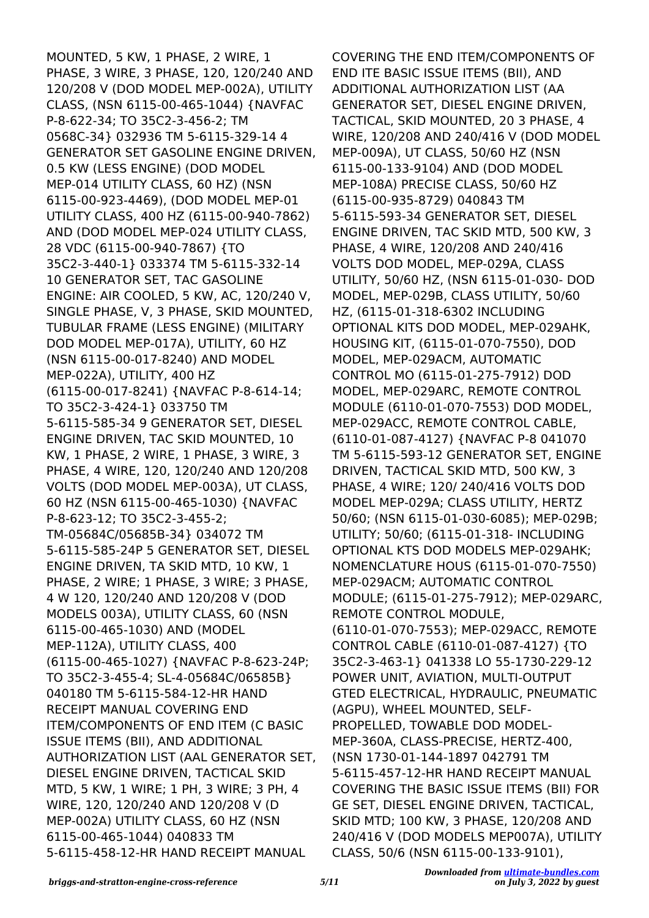MOUNTED, 5 KW, 1 PHASE, 2 WIRE, 1 PHASE, 3 WIRE, 3 PHASE, 120, 120/240 AND 120/208 V (DOD MODEL MEP-002A), UTILITY CLASS, (NSN 6115-00-465-1044) {NAVFAC P-8-622-34; TO 35C2-3-456-2; TM 0568C-34} 032936 TM 5-6115-329-14 4 GENERATOR SET GASOLINE ENGINE DRIVEN, 0.5 KW (LESS ENGINE) (DOD MODEL MEP-014 UTILITY CLASS, 60 HZ) (NSN 6115-00-923-4469), (DOD MODEL MEP-01 UTILITY CLASS, 400 HZ (6115-00-940-7862) AND (DOD MODEL MEP-024 UTILITY CLASS, 28 VDC (6115-00-940-7867) {TO 35C2-3-440-1} 033374 TM 5-6115-332-14 10 GENERATOR SET, TAC GASOLINE ENGINE: AIR COOLED, 5 KW, AC, 120/240 V, SINGLE PHASE, V, 3 PHASE, SKID MOUNTED, TUBULAR FRAME (LESS ENGINE) (MILITARY DOD MODEL MEP-017A), UTILITY, 60 HZ (NSN 6115-00-017-8240) AND MODEL MEP-022A), UTILITY, 400 HZ (6115-00-017-8241) {NAVFAC P-8-614-14; TO 35C2-3-424-1} 033750 TM 5-6115-585-34 9 GENERATOR SET, DIESEL ENGINE DRIVEN, TAC SKID MOUNTED, 10 KW, 1 PHASE, 2 WIRE, 1 PHASE, 3 WIRE, 3 PHASE, 4 WIRE, 120, 120/240 AND 120/208 VOLTS (DOD MODEL MEP-003A), UT CLASS, 60 HZ (NSN 6115-00-465-1030) {NAVFAC P-8-623-12; TO 35C2-3-455-2; TM-05684C/05685B-34} 034072 TM 5-6115-585-24P 5 GENERATOR SET, DIESEL ENGINE DRIVEN, TA SKID MTD, 10 KW, 1 PHASE, 2 WIRE; 1 PHASE, 3 WIRE; 3 PHASE, 4 W 120, 120/240 AND 120/208 V (DOD MODELS 003A), UTILITY CLASS, 60 (NSN 6115-00-465-1030) AND (MODEL MEP-112A), UTILITY CLASS, 400 (6115-00-465-1027) {NAVFAC P-8-623-24P; TO 35C2-3-455-4; SL-4-05684C/06585B} 040180 TM 5-6115-584-12-HR HAND RECEIPT MANUAL COVERING END ITEM/COMPONENTS OF END ITEM (C BASIC ISSUE ITEMS (BII), AND ADDITIONAL AUTHORIZATION LIST (AAL GENERATOR SET, DIESEL ENGINE DRIVEN, TACTICAL SKID MTD, 5 KW, 1 WIRE; 1 PH, 3 WIRE; 3 PH, 4 WIRE, 120, 120/240 AND 120/208 V (D MEP-002A) UTILITY CLASS, 60 HZ (NSN 6115-00-465-1044) 040833 TM 5-6115-458-12-HR HAND RECEIPT MANUAL

COVERING THE END ITEM/COMPONENTS OF END ITE BASIC ISSUE ITEMS (BII), AND ADDITIONAL AUTHORIZATION LIST (AA GENERATOR SET, DIESEL ENGINE DRIVEN, TACTICAL, SKID MOUNTED, 20 3 PHASE, 4 WIRE, 120/208 AND 240/416 V (DOD MODEL MEP-009A), UT CLASS, 50/60 HZ (NSN 6115-00-133-9104) AND (DOD MODEL MEP-108A) PRECISE CLASS, 50/60 HZ (6115-00-935-8729) 040843 TM 5-6115-593-34 GENERATOR SET, DIESEL ENGINE DRIVEN, TAC SKID MTD, 500 KW, 3 PHASE, 4 WIRE, 120/208 AND 240/416 VOLTS DOD MODEL, MEP-029A, CLASS UTILITY, 50/60 HZ, (NSN 6115-01-030- DOD MODEL, MEP-029B, CLASS UTILITY, 50/60 HZ, (6115-01-318-6302 INCLUDING OPTIONAL KITS DOD MODEL, MEP-029AHK, HOUSING KIT, (6115-01-070-7550), DOD MODEL, MEP-029ACM, AUTOMATIC CONTROL MO (6115-01-275-7912) DOD MODEL, MEP-029ARC, REMOTE CONTROL MODULE (6110-01-070-7553) DOD MODEL, MEP-029ACC, REMOTE CONTROL CABLE, (6110-01-087-4127) {NAVFAC P-8 041070 TM 5-6115-593-12 GENERATOR SET, ENGINE DRIVEN, TACTICAL SKID MTD, 500 KW, 3 PHASE, 4 WIRE; 120/ 240/416 VOLTS DOD MODEL MEP-029A; CLASS UTILITY, HERTZ 50/60; (NSN 6115-01-030-6085); MEP-029B; UTILITY; 50/60; (6115-01-318- INCLUDING OPTIONAL KTS DOD MODELS MEP-029AHK; NOMENCLATURE HOUS (6115-01-070-7550) MEP-029ACM; AUTOMATIC CONTROL MODULE; (6115-01-275-7912); MEP-029ARC, REMOTE CONTROL MODULE, (6110-01-070-7553); MEP-029ACC, REMOTE CONTROL CABLE (6110-01-087-4127) {TO 35C2-3-463-1} 041338 LO 55-1730-229-12 POWER UNIT, AVIATION, MULTI-OUTPUT GTED ELECTRICAL, HYDRAULIC, PNEUMATIC (AGPU), WHEEL MOUNTED, SELF-PROPELLED, TOWABLE DOD MODEL-MEP-360A, CLASS-PRECISE, HERTZ-400, (NSN 1730-01-144-1897 042791 TM 5-6115-457-12-HR HAND RECEIPT MANUAL COVERING THE BASIC ISSUE ITEMS (BII) FOR GE SET, DIESEL ENGINE DRIVEN, TACTICAL, SKID MTD; 100 KW, 3 PHASE, 120/208 AND 240/416 V (DOD MODELS MEP007A), UTILITY CLASS, 50/6 (NSN 6115-00-133-9101),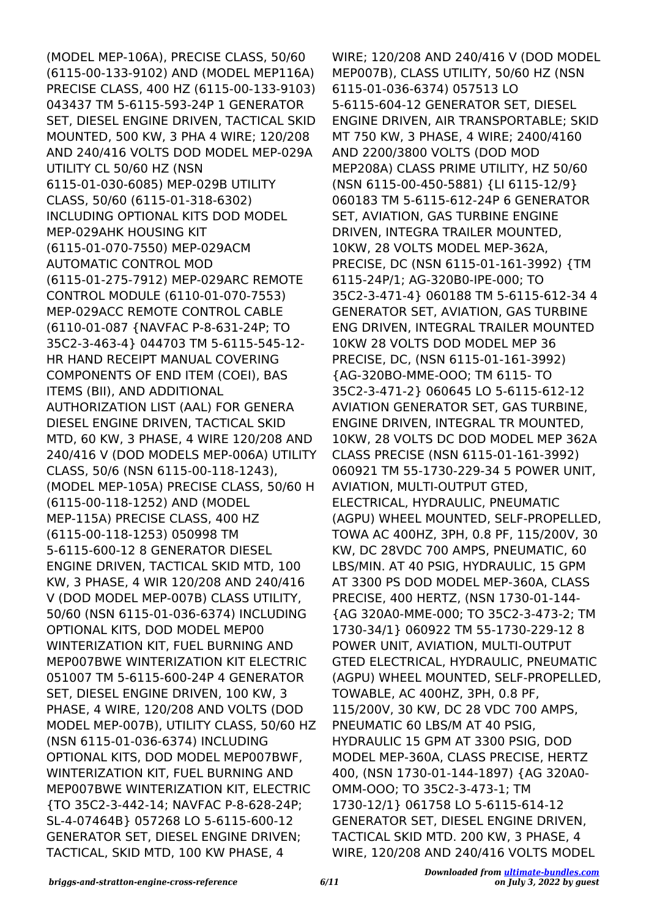(MODEL MEP-106A), PRECISE CLASS, 50/60 (6115-00-133-9102) AND (MODEL MEP116A) PRECISE CLASS, 400 HZ (6115-00-133-9103) 043437 TM 5-6115-593-24P 1 GENERATOR SET, DIESEL ENGINE DRIVEN, TACTICAL SKID MOUNTED, 500 KW, 3 PHA 4 WIRE; 120/208 AND 240/416 VOLTS DOD MODEL MEP-029A UTILITY CL 50/60 HZ (NSN 6115-01-030-6085) MEP-029B UTILITY CLASS, 50/60 (6115-01-318-6302) INCLUDING OPTIONAL KITS DOD MODEL MEP-029AHK HOUSING KIT (6115-01-070-7550) MEP-029ACM AUTOMATIC CONTROL MOD (6115-01-275-7912) MEP-029ARC REMOTE CONTROL MODULE (6110-01-070-7553) MEP-029ACC REMOTE CONTROL CABLE (6110-01-087 {NAVFAC P-8-631-24P; TO 35C2-3-463-4} 044703 TM 5-6115-545-12- HR HAND RECEIPT MANUAL COVERING COMPONENTS OF END ITEM (COEI), BAS ITEMS (BII), AND ADDITIONAL AUTHORIZATION LIST (AAL) FOR GENERA DIESEL ENGINE DRIVEN, TACTICAL SKID MTD, 60 KW, 3 PHASE, 4 WIRE 120/208 AND 240/416 V (DOD MODELS MEP-006A) UTILITY CLASS, 50/6 (NSN 6115-00-118-1243), (MODEL MEP-105A) PRECISE CLASS, 50/60 H (6115-00-118-1252) AND (MODEL MEP-115A) PRECISE CLASS, 400 HZ (6115-00-118-1253) 050998 TM 5-6115-600-12 8 GENERATOR DIESEL ENGINE DRIVEN, TACTICAL SKID MTD, 100 KW, 3 PHASE, 4 WIR 120/208 AND 240/416 V (DOD MODEL MEP-007B) CLASS UTILITY, 50/60 (NSN 6115-01-036-6374) INCLUDING OPTIONAL KITS, DOD MODEL MEP00 WINTERIZATION KIT, FUEL BURNING AND MEP007BWE WINTERIZATION KIT ELECTRIC 051007 TM 5-6115-600-24P 4 GENERATOR SET, DIESEL ENGINE DRIVEN, 100 KW, 3 PHASE, 4 WIRE, 120/208 AND VOLTS (DOD MODEL MEP-007B), UTILITY CLASS, 50/60 HZ (NSN 6115-01-036-6374) INCLUDING OPTIONAL KITS, DOD MODEL MEP007BWF, WINTERIZATION KIT, FUEL BURNING AND MEP007BWE WINTERIZATION KIT, ELECTRIC {TO 35C2-3-442-14; NAVFAC P-8-628-24P; SL-4-07464B} 057268 LO 5-6115-600-12 GENERATOR SET, DIESEL ENGINE DRIVEN; TACTICAL, SKID MTD, 100 KW PHASE, 4

WIRE; 120/208 AND 240/416 V (DOD MODEL MEP007B), CLASS UTILITY, 50/60 HZ (NSN 6115-01-036-6374) 057513 LO 5-6115-604-12 GENERATOR SET, DIESEL ENGINE DRIVEN, AIR TRANSPORTABLE; SKID MT 750 KW, 3 PHASE, 4 WIRE; 2400/4160 AND 2200/3800 VOLTS (DOD MOD MEP208A) CLASS PRIME UTILITY, HZ 50/60 (NSN 6115-00-450-5881) {LI 6115-12/9} 060183 TM 5-6115-612-24P 6 GENERATOR SET, AVIATION, GAS TURBINE ENGINE DRIVEN, INTEGRA TRAILER MOUNTED, 10KW, 28 VOLTS MODEL MEP-362A, PRECISE, DC (NSN 6115-01-161-3992) {TM 6115-24P/1; AG-320B0-IPE-000; TO 35C2-3-471-4} 060188 TM 5-6115-612-34 4 GENERATOR SET, AVIATION, GAS TURBINE ENG DRIVEN, INTEGRAL TRAILER MOUNTED 10KW 28 VOLTS DOD MODEL MEP 36 PRECISE, DC, (NSN 6115-01-161-3992) {AG-320BO-MME-OOO; TM 6115- TO 35C2-3-471-2} 060645 LO 5-6115-612-12 AVIATION GENERATOR SET, GAS TURBINE, ENGINE DRIVEN, INTEGRAL TR MOUNTED, 10KW, 28 VOLTS DC DOD MODEL MEP 362A CLASS PRECISE (NSN 6115-01-161-3992) 060921 TM 55-1730-229-34 5 POWER UNIT, AVIATION, MULTI-OUTPUT GTED, ELECTRICAL, HYDRAULIC, PNEUMATIC (AGPU) WHEEL MOUNTED, SELF-PROPELLED, TOWA AC 400HZ, 3PH, 0.8 PF, 115/200V, 30 KW, DC 28VDC 700 AMPS, PNEUMATIC, 60 LBS/MIN. AT 40 PSIG, HYDRAULIC, 15 GPM AT 3300 PS DOD MODEL MEP-360A, CLASS PRECISE, 400 HERTZ, (NSN 1730-01-144- {AG 320A0-MME-000; TO 35C2-3-473-2; TM 1730-34/1} 060922 TM 55-1730-229-12 8 POWER UNIT, AVIATION, MULTI-OUTPUT GTED ELECTRICAL, HYDRAULIC, PNEUMATIC (AGPU) WHEEL MOUNTED, SELF-PROPELLED, TOWABLE, AC 400HZ, 3PH, 0.8 PF, 115/200V, 30 KW, DC 28 VDC 700 AMPS, PNEUMATIC 60 LBS/M AT 40 PSIG, HYDRAULIC 15 GPM AT 3300 PSIG, DOD MODEL MEP-360A, CLASS PRECISE, HERTZ 400, (NSN 1730-01-144-1897) {AG 320A0- OMM-OOO; TO 35C2-3-473-1; TM 1730-12/1} 061758 LO 5-6115-614-12 GENERATOR SET, DIESEL ENGINE DRIVEN, TACTICAL SKID MTD. 200 KW, 3 PHASE, 4 WIRE, 120/208 AND 240/416 VOLTS MODEL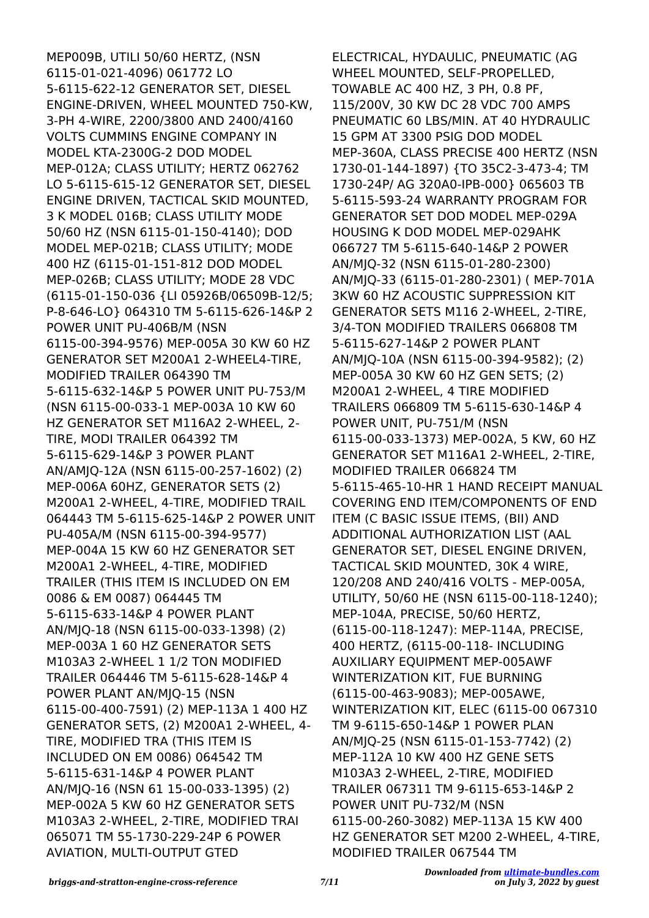MEP009B, UTILI 50/60 HERTZ, (NSN 6115-01-021-4096) 061772 LO 5-6115-622-12 GENERATOR SET, DIESEL ENGINE-DRIVEN, WHEEL MOUNTED 750-KW, 3-PH 4-WIRE, 2200/3800 AND 2400/4160 VOLTS CUMMINS ENGINE COMPANY IN MODEL KTA-2300G-2 DOD MODEL MEP-012A; CLASS UTILITY; HERTZ 062762 LO 5-6115-615-12 GENERATOR SET, DIESEL ENGINE DRIVEN, TACTICAL SKID MOUNTED, 3 K MODEL 016B; CLASS UTILITY MODE 50/60 HZ (NSN 6115-01-150-4140); DOD MODEL MEP-021B; CLASS UTILITY; MODE 400 HZ (6115-01-151-812 DOD MODEL MEP-026B; CLASS UTILITY; MODE 28 VDC (6115-01-150-036 {LI 05926B/06509B-12/5; P-8-646-LO} 064310 TM 5-6115-626-14&P 2 POWER UNIT PU-406B/M (NSN 6115-00-394-9576) MEP-005A 30 KW 60 HZ GENERATOR SET M200A1 2-WHEEL4-TIRE, MODIFIED TRAILER 064390 TM 5-6115-632-14&P 5 POWER UNIT PU-753/M (NSN 6115-00-033-1 MEP-003A 10 KW 60 HZ GENERATOR SET M116A2 2-WHEEL, 2- TIRE, MODI TRAILER 064392 TM 5-6115-629-14&P 3 POWER PLANT AN/AMJQ-12A (NSN 6115-00-257-1602) (2) MEP-006A 60HZ, GENERATOR SETS (2) M200A1 2-WHEEL, 4-TIRE, MODIFIED TRAIL 064443 TM 5-6115-625-14&P 2 POWER UNIT PU-405A/M (NSN 6115-00-394-9577) MEP-004A 15 KW 60 HZ GENERATOR SET M200A1 2-WHEEL, 4-TIRE, MODIFIED TRAILER (THIS ITEM IS INCLUDED ON EM 0086 & EM 0087) 064445 TM 5-6115-633-14&P 4 POWER PLANT AN/MJQ-18 (NSN 6115-00-033-1398) (2) MEP-003A 1 60 HZ GENERATOR SETS M103A3 2-WHEEL 1 1/2 TON MODIFIED TRAILER 064446 TM 5-6115-628-14&P 4 POWER PLANT AN/MJQ-15 (NSN 6115-00-400-7591) (2) MEP-113A 1 400 HZ GENERATOR SETS, (2) M200A1 2-WHEEL, 4- TIRE, MODIFIED TRA (THIS ITEM IS INCLUDED ON EM 0086) 064542 TM 5-6115-631-14&P 4 POWER PLANT AN/MJQ-16 (NSN 61 15-00-033-1395) (2) MEP-002A 5 KW 60 HZ GENERATOR SETS M103A3 2-WHEEL, 2-TIRE, MODIFIED TRAI 065071 TM 55-1730-229-24P 6 POWER AVIATION, MULTI-OUTPUT GTED

ELECTRICAL, HYDAULIC, PNEUMATIC (AG WHEEL MOUNTED, SELF-PROPELLED, TOWABLE AC 400 HZ, 3 PH, 0.8 PF, 115/200V, 30 KW DC 28 VDC 700 AMPS PNEUMATIC 60 LBS/MIN. AT 40 HYDRAULIC 15 GPM AT 3300 PSIG DOD MODEL MEP-360A, CLASS PRECISE 400 HERTZ (NSN 1730-01-144-1897) {TO 35C2-3-473-4; TM 1730-24P/ AG 320A0-IPB-000} 065603 TB 5-6115-593-24 WARRANTY PROGRAM FOR GENERATOR SET DOD MODEL MEP-029A HOUSING K DOD MODEL MEP-029AHK 066727 TM 5-6115-640-14&P 2 POWER AN/MJQ-32 (NSN 6115-01-280-2300) AN/MJQ-33 (6115-01-280-2301) ( MEP-701A 3KW 60 HZ ACOUSTIC SUPPRESSION KIT GENERATOR SETS M116 2-WHEEL, 2-TIRE, 3/4-TON MODIFIED TRAILERS 066808 TM 5-6115-627-14&P 2 POWER PLANT AN/MJQ-10A (NSN 6115-00-394-9582); (2) MEP-005A 30 KW 60 HZ GEN SETS; (2) M200A1 2-WHEEL, 4 TIRE MODIFIED TRAILERS 066809 TM 5-6115-630-14&P 4 POWER UNIT, PU-751/M (NSN 6115-00-033-1373) MEP-002A, 5 KW, 60 HZ GENERATOR SET M116A1 2-WHEEL, 2-TIRE, MODIFIED TRAILER 066824 TM 5-6115-465-10-HR 1 HAND RECEIPT MANUAL COVERING END ITEM/COMPONENTS OF END ITEM (C BASIC ISSUE ITEMS, (BII) AND ADDITIONAL AUTHORIZATION LIST (AAL GENERATOR SET, DIESEL ENGINE DRIVEN, TACTICAL SKID MOUNTED, 30K 4 WIRE, 120/208 AND 240/416 VOLTS - MEP-005A, UTILITY, 50/60 HE (NSN 6115-00-118-1240); MEP-104A, PRECISE, 50/60 HERTZ, (6115-00-118-1247): MEP-114A, PRECISE, 400 HERTZ, (6115-00-118- INCLUDING AUXILIARY EQUIPMENT MEP-005AWF WINTERIZATION KIT, FUE BURNING (6115-00-463-9083); MEP-005AWE, WINTERIZATION KIT, ELEC (6115-00 067310 TM 9-6115-650-14&P 1 POWER PLAN AN/MJQ-25 (NSN 6115-01-153-7742) (2) MEP-112A 10 KW 400 HZ GENE SETS M103A3 2-WHEEL, 2-TIRE, MODIFIED TRAILER 067311 TM 9-6115-653-14&P 2 POWER UNIT PU-732/M (NSN 6115-00-260-3082) MEP-113A 15 KW 400 HZ GENERATOR SET M200 2-WHEEL, 4-TIRE, MODIFIED TRAILER 067544 TM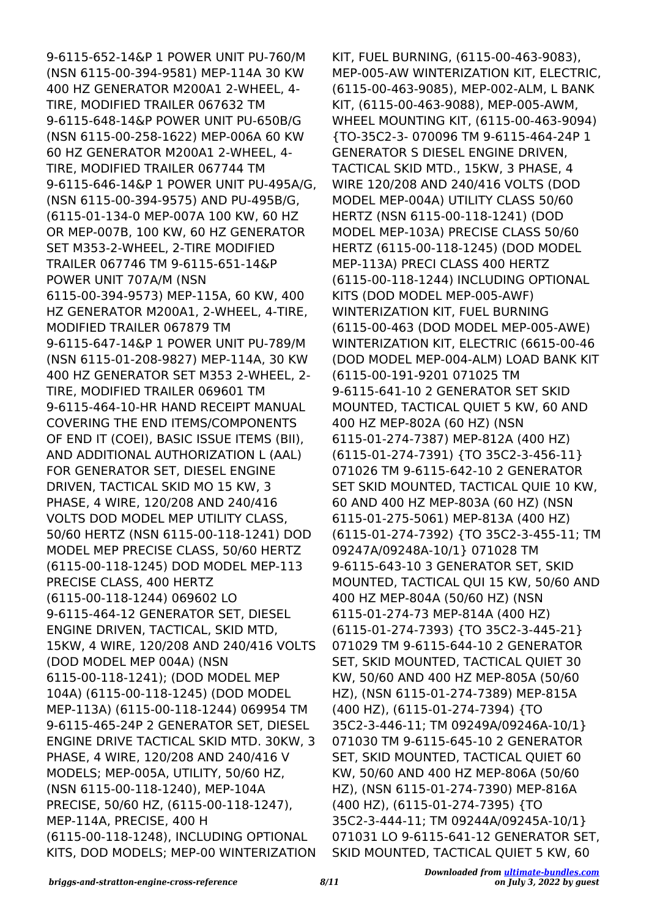9-6115-652-14&P 1 POWER UNIT PU-760/M (NSN 6115-00-394-9581) MEP-114A 30 KW 400 HZ GENERATOR M200A1 2-WHEEL, 4- TIRE, MODIFIED TRAILER 067632 TM 9-6115-648-14&P POWER UNIT PU-650B/G (NSN 6115-00-258-1622) MEP-006A 60 KW 60 HZ GENERATOR M200A1 2-WHEEL, 4- TIRE, MODIFIED TRAILER 067744 TM 9-6115-646-14&P 1 POWER UNIT PU-495A/G, (NSN 6115-00-394-9575) AND PU-495B/G, (6115-01-134-0 MEP-007A 100 KW, 60 HZ OR MEP-007B, 100 KW, 60 HZ GENERATOR SET M353-2-WHEEL, 2-TIRE MODIFIED TRAILER 067746 TM 9-6115-651-14&P POWER UNIT 707A/M (NSN 6115-00-394-9573) MEP-115A, 60 KW, 400 HZ GENERATOR M200A1, 2-WHEEL, 4-TIRE, MODIFIED TRAILER 067879 TM 9-6115-647-14&P 1 POWER UNIT PU-789/M (NSN 6115-01-208-9827) MEP-114A, 30 KW 400 HZ GENERATOR SET M353 2-WHEEL, 2- TIRE, MODIFIED TRAILER 069601 TM 9-6115-464-10-HR HAND RECEIPT MANUAL COVERING THE END ITEMS/COMPONENTS OF END IT (COEI), BASIC ISSUE ITEMS (BII), AND ADDITIONAL AUTHORIZATION L (AAL) FOR GENERATOR SET, DIESEL ENGINE DRIVEN, TACTICAL SKID MO 15 KW, 3 PHASE, 4 WIRE, 120/208 AND 240/416 VOLTS DOD MODEL MEP UTILITY CLASS, 50/60 HERTZ (NSN 6115-00-118-1241) DOD MODEL MEP PRECISE CLASS, 50/60 HERTZ (6115-00-118-1245) DOD MODEL MEP-113 PRECISE CLASS, 400 HERTZ (6115-00-118-1244) 069602 LO 9-6115-464-12 GENERATOR SET, DIESEL ENGINE DRIVEN, TACTICAL, SKID MTD, 15KW, 4 WIRE, 120/208 AND 240/416 VOLTS (DOD MODEL MEP 004A) (NSN 6115-00-118-1241); (DOD MODEL MEP 104A) (6115-00-118-1245) (DOD MODEL MEP-113A) (6115-00-118-1244) 069954 TM 9-6115-465-24P 2 GENERATOR SET, DIESEL ENGINE DRIVE TACTICAL SKID MTD. 30KW, 3 PHASE, 4 WIRE, 120/208 AND 240/416 V MODELS; MEP-005A, UTILITY, 50/60 HZ, (NSN 6115-00-118-1240), MEP-104A PRECISE, 50/60 HZ, (6115-00-118-1247), MEP-114A, PRECISE, 400 H (6115-00-118-1248), INCLUDING OPTIONAL KITS, DOD MODELS; MEP-00 WINTERIZATION KIT, FUEL BURNING, (6115-00-463-9083), MEP-005-AW WINTERIZATION KIT, ELECTRIC, (6115-00-463-9085), MEP-002-ALM, L BANK KIT, (6115-00-463-9088), MEP-005-AWM, WHEEL MOUNTING KIT, (6115-00-463-9094) {TO-35C2-3- 070096 TM 9-6115-464-24P 1 GENERATOR S DIESEL ENGINE DRIVEN, TACTICAL SKID MTD., 15KW, 3 PHASE, 4 WIRE 120/208 AND 240/416 VOLTS (DOD MODEL MEP-004A) UTILITY CLASS 50/60 HERTZ (NSN 6115-00-118-1241) (DOD MODEL MEP-103A) PRECISE CLASS 50/60 HERTZ (6115-00-118-1245) (DOD MODEL MEP-113A) PRECI CLASS 400 HERTZ (6115-00-118-1244) INCLUDING OPTIONAL KITS (DOD MODEL MEP-005-AWF) WINTERIZATION KIT, FUEL BURNING (6115-00-463 (DOD MODEL MEP-005-AWE) WINTERIZATION KIT, ELECTRIC (6615-00-46 (DOD MODEL MEP-004-ALM) LOAD BANK KIT (6115-00-191-9201 071025 TM 9-6115-641-10 2 GENERATOR SET SKID MOUNTED, TACTICAL QUIET 5 KW, 60 AND 400 HZ MEP-802A (60 HZ) (NSN 6115-01-274-7387) MEP-812A (400 HZ) (6115-01-274-7391) {TO 35C2-3-456-11} 071026 TM 9-6115-642-10 2 GENERATOR SET SKID MOUNTED, TACTICAL QUIE 10 KW, 60 AND 400 HZ MEP-803A (60 HZ) (NSN 6115-01-275-5061) MEP-813A (400 HZ) (6115-01-274-7392) {TO 35C2-3-455-11; TM 09247A/09248A-10/1} 071028 TM 9-6115-643-10 3 GENERATOR SET, SKID MOUNTED, TACTICAL QUI 15 KW, 50/60 AND 400 HZ MEP-804A (50/60 HZ) (NSN 6115-01-274-73 MEP-814A (400 HZ) (6115-01-274-7393) {TO 35C2-3-445-21} 071029 TM 9-6115-644-10 2 GENERATOR SET, SKID MOUNTED, TACTICAL QUIET 30 KW, 50/60 AND 400 HZ MEP-805A (50/60 HZ), (NSN 6115-01-274-7389) MEP-815A (400 HZ), (6115-01-274-7394) {TO 35C2-3-446-11; TM 09249A/09246A-10/1} 071030 TM 9-6115-645-10 2 GENERATOR SET, SKID MOUNTED, TACTICAL QUIET 60 KW, 50/60 AND 400 HZ MEP-806A (50/60 HZ), (NSN 6115-01-274-7390) MEP-816A (400 HZ), (6115-01-274-7395) {TO 35C2-3-444-11; TM 09244A/09245A-10/1} 071031 LO 9-6115-641-12 GENERATOR SET, SKID MOUNTED, TACTICAL QUIET 5 KW, 60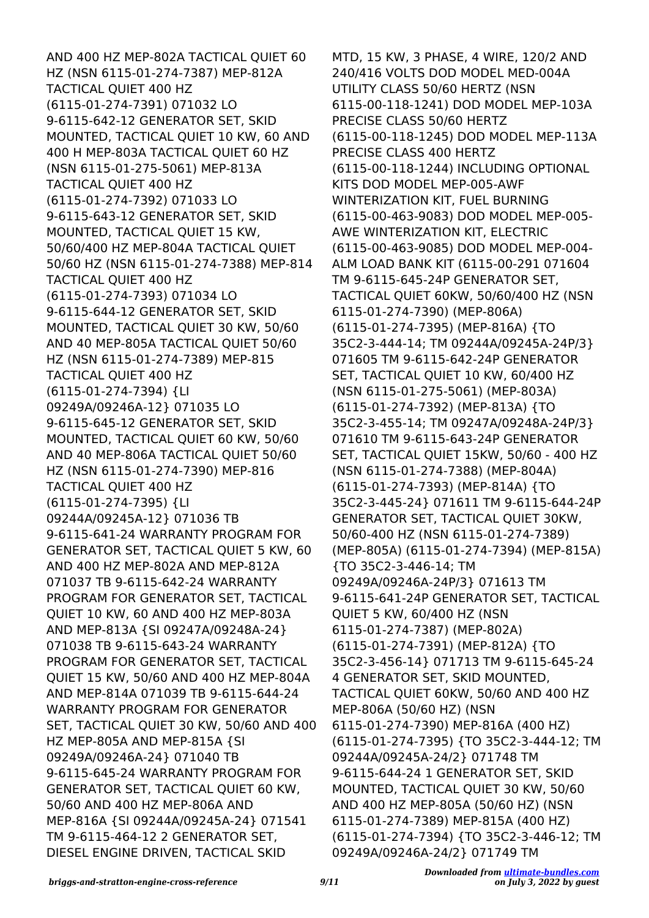AND 400 HZ MEP-802A TACTICAL QUIET 60 HZ (NSN 6115-01-274-7387) MEP-812A TACTICAL QUIET 400 HZ (6115-01-274-7391) 071032 LO 9-6115-642-12 GENERATOR SET, SKID MOUNTED, TACTICAL QUIET 10 KW, 60 AND 400 H MEP-803A TACTICAL QUIET 60 HZ (NSN 6115-01-275-5061) MEP-813A TACTICAL QUIET 400 HZ (6115-01-274-7392) 071033 LO 9-6115-643-12 GENERATOR SET, SKID MOUNTED, TACTICAL QUIET 15 KW, 50/60/400 HZ MEP-804A TACTICAL QUIET 50/60 HZ (NSN 6115-01-274-7388) MEP-814 TACTICAL QUIET 400 HZ (6115-01-274-7393) 071034 LO 9-6115-644-12 GENERATOR SET, SKID MOUNTED, TACTICAL QUIET 30 KW, 50/60 AND 40 MEP-805A TACTICAL QUIET 50/60 HZ (NSN 6115-01-274-7389) MEP-815 TACTICAL QUIET 400 HZ (6115-01-274-7394) {LI 09249A/09246A-12} 071035 LO 9-6115-645-12 GENERATOR SET, SKID MOUNTED, TACTICAL QUIET 60 KW, 50/60 AND 40 MEP-806A TACTICAL QUIET 50/60 HZ (NSN 6115-01-274-7390) MEP-816 TACTICAL QUIET 400 HZ (6115-01-274-7395) {LI 09244A/09245A-12} 071036 TB 9-6115-641-24 WARRANTY PROGRAM FOR GENERATOR SET, TACTICAL QUIET 5 KW, 60 AND 400 HZ MEP-802A AND MEP-812A 071037 TB 9-6115-642-24 WARRANTY PROGRAM FOR GENERATOR SET, TACTICAL QUIET 10 KW, 60 AND 400 HZ MEP-803A AND MEP-813A {SI 09247A/09248A-24} 071038 TB 9-6115-643-24 WARRANTY PROGRAM FOR GENERATOR SET, TACTICAL QUIET 15 KW, 50/60 AND 400 HZ MEP-804A AND MEP-814A 071039 TB 9-6115-644-24 WARRANTY PROGRAM FOR GENERATOR SET, TACTICAL QUIET 30 KW, 50/60 AND 400 HZ MEP-805A AND MEP-815A {SI 09249A/09246A-24} 071040 TB 9-6115-645-24 WARRANTY PROGRAM FOR GENERATOR SET, TACTICAL QUIET 60 KW, 50/60 AND 400 HZ MEP-806A AND MEP-816A {SI 09244A/09245A-24} 071541 TM 9-6115-464-12 2 GENERATOR SET, DIESEL ENGINE DRIVEN, TACTICAL SKID

MTD, 15 KW, 3 PHASE, 4 WIRE, 120/2 AND 240/416 VOLTS DOD MODEL MED-004A UTILITY CLASS 50/60 HERTZ (NSN 6115-00-118-1241) DOD MODEL MEP-103A PRECISE CLASS 50/60 HERTZ (6115-00-118-1245) DOD MODEL MEP-113A PRECISE CLASS 400 HERTZ (6115-00-118-1244) INCLUDING OPTIONAL KITS DOD MODEL MEP-005-AWF WINTERIZATION KIT, FUEL BURNING (6115-00-463-9083) DOD MODEL MEP-005- AWE WINTERIZATION KIT, ELECTRIC (6115-00-463-9085) DOD MODEL MEP-004- ALM LOAD BANK KIT (6115-00-291 071604 TM 9-6115-645-24P GENERATOR SET, TACTICAL QUIET 60KW, 50/60/400 HZ (NSN 6115-01-274-7390) (MEP-806A) (6115-01-274-7395) (MEP-816A) {TO 35C2-3-444-14; TM 09244A/09245A-24P/3} 071605 TM 9-6115-642-24P GENERATOR SET, TACTICAL QUIET 10 KW, 60/400 HZ (NSN 6115-01-275-5061) (MEP-803A) (6115-01-274-7392) (MEP-813A) {TO 35C2-3-455-14; TM 09247A/09248A-24P/3} 071610 TM 9-6115-643-24P GENERATOR SET, TACTICAL QUIET 15KW, 50/60 - 400 HZ (NSN 6115-01-274-7388) (MEP-804A) (6115-01-274-7393) (MEP-814A) {TO 35C2-3-445-24} 071611 TM 9-6115-644-24P GENERATOR SET, TACTICAL QUIET 30KW, 50/60-400 HZ (NSN 6115-01-274-7389) (MEP-805A) (6115-01-274-7394) (MEP-815A) {TO 35C2-3-446-14; TM 09249A/09246A-24P/3} 071613 TM 9-6115-641-24P GENERATOR SET, TACTICAL QUIET 5 KW, 60/400 HZ (NSN 6115-01-274-7387) (MEP-802A) (6115-01-274-7391) (MEP-812A) {TO 35C2-3-456-14} 071713 TM 9-6115-645-24 4 GENERATOR SET, SKID MOUNTED, TACTICAL QUIET 60KW, 50/60 AND 400 HZ MEP-806A (50/60 HZ) (NSN 6115-01-274-7390) MEP-816A (400 HZ) (6115-01-274-7395) {TO 35C2-3-444-12; TM 09244A/09245A-24/2} 071748 TM 9-6115-644-24 1 GENERATOR SET, SKID MOUNTED, TACTICAL QUIET 30 KW, 50/60 AND 400 HZ MEP-805A (50/60 HZ) (NSN 6115-01-274-7389) MEP-815A (400 HZ) (6115-01-274-7394) {TO 35C2-3-446-12; TM 09249A/09246A-24/2} 071749 TM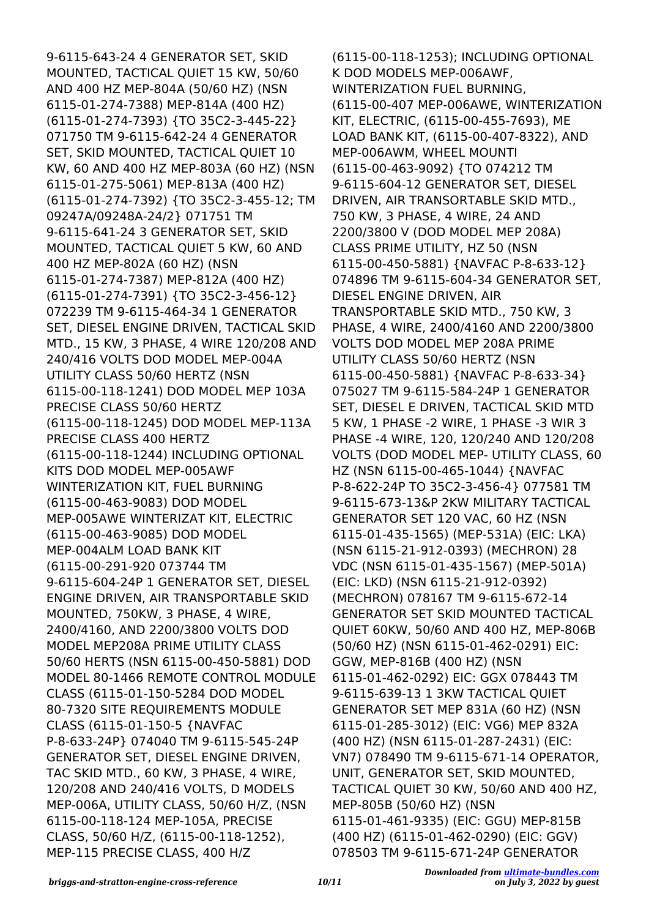9-6115-643-24 4 GENERATOR SET, SKID MOUNTED, TACTICAL QUIET 15 KW, 50/60 AND 400 HZ MEP-804A (50/60 HZ) (NSN 6115-01-274-7388) MEP-814A (400 HZ) (6115-01-274-7393) {TO 35C2-3-445-22} 071750 TM 9-6115-642-24 4 GENERATOR SET, SKID MOUNTED, TACTICAL QUIET 10 KW, 60 AND 400 HZ MEP-803A (60 HZ) (NSN 6115-01-275-5061) MEP-813A (400 HZ) (6115-01-274-7392) {TO 35C2-3-455-12; TM 09247A/09248A-24/2} 071751 TM 9-6115-641-24 3 GENERATOR SET, SKID MOUNTED, TACTICAL QUIET 5 KW, 60 AND 400 HZ MEP-802A (60 HZ) (NSN 6115-01-274-7387) MEP-812A (400 HZ) (6115-01-274-7391) {TO 35C2-3-456-12} 072239 TM 9-6115-464-34 1 GENERATOR SET, DIESEL ENGINE DRIVEN, TACTICAL SKID MTD., 15 KW, 3 PHASE, 4 WIRE 120/208 AND 240/416 VOLTS DOD MODEL MEP-004A UTILITY CLASS 50/60 HERTZ (NSN 6115-00-118-1241) DOD MODEL MEP 103A PRECISE CLASS 50/60 HERTZ (6115-00-118-1245) DOD MODEL MEP-113A PRECISE CLASS 400 HERTZ (6115-00-118-1244) INCLUDING OPTIONAL KITS DOD MODEL MEP-005AWF WINTERIZATION KIT, FUEL BURNING (6115-00-463-9083) DOD MODEL MEP-005AWE WINTERIZAT KIT, ELECTRIC (6115-00-463-9085) DOD MODEL MEP-004ALM LOAD BANK KIT (6115-00-291-920 073744 TM 9-6115-604-24P 1 GENERATOR SET, DIESEL ENGINE DRIVEN, AIR TRANSPORTABLE SKID MOUNTED, 750KW, 3 PHASE, 4 WIRE, 2400/4160, AND 2200/3800 VOLTS DOD MODEL MEP208A PRIME UTILITY CLASS 50/60 HERTS (NSN 6115-00-450-5881) DOD MODEL 80-1466 REMOTE CONTROL MODULE CLASS (6115-01-150-5284 DOD MODEL 80-7320 SITE REQUIREMENTS MODULE CLASS (6115-01-150-5 {NAVFAC P-8-633-24P} 074040 TM 9-6115-545-24P GENERATOR SET, DIESEL ENGINE DRIVEN, TAC SKID MTD., 60 KW, 3 PHASE, 4 WIRE, 120/208 AND 240/416 VOLTS, D MODELS MEP-006A, UTILITY CLASS, 50/60 H/Z, (NSN 6115-00-118-124 MEP-105A, PRECISE CLASS, 50/60 H/Z, (6115-00-118-1252), MEP-115 PRECISE CLASS, 400 H/Z

(6115-00-118-1253); INCLUDING OPTIONAL K DOD MODELS MEP-006AWF, WINTERIZATION FUEL BURNING, (6115-00-407 MEP-006AWE, WINTERIZATION KIT, ELECTRIC, (6115-00-455-7693), ME LOAD BANK KIT, (6115-00-407-8322), AND MEP-006AWM, WHEEL MOUNTI (6115-00-463-9092) {TO 074212 TM 9-6115-604-12 GENERATOR SET, DIESEL DRIVEN, AIR TRANSORTABLE SKID MTD., 750 KW, 3 PHASE, 4 WIRE, 24 AND 2200/3800 V (DOD MODEL MEP 208A) CLASS PRIME UTILITY, HZ 50 (NSN 6115-00-450-5881) {NAVFAC P-8-633-12} 074896 TM 9-6115-604-34 GENERATOR SET, DIESEL ENGINE DRIVEN, AIR TRANSPORTABLE SKID MTD., 750 KW, 3 PHASE, 4 WIRE, 2400/4160 AND 2200/3800 VOLTS DOD MODEL MEP 208A PRIME UTILITY CLASS 50/60 HERTZ (NSN 6115-00-450-5881) {NAVFAC P-8-633-34} 075027 TM 9-6115-584-24P 1 GENERATOR SET, DIESEL E DRIVEN, TACTICAL SKID MTD 5 KW, 1 PHASE -2 WIRE, 1 PHASE -3 WIR 3 PHASE -4 WIRE, 120, 120/240 AND 120/208 VOLTS (DOD MODEL MEP- UTILITY CLASS, 60 HZ (NSN 6115-00-465-1044) {NAVFAC P-8-622-24P TO 35C2-3-456-4} 077581 TM 9-6115-673-13&P 2KW MILITARY TACTICAL GENERATOR SET 120 VAC, 60 HZ (NSN 6115-01-435-1565) (MEP-531A) (EIC: LKA) (NSN 6115-21-912-0393) (MECHRON) 28 VDC (NSN 6115-01-435-1567) (MEP-501A) (EIC: LKD) (NSN 6115-21-912-0392) (MECHRON) 078167 TM 9-6115-672-14 GENERATOR SET SKID MOUNTED TACTICAL QUIET 60KW, 50/60 AND 400 HZ, MEP-806B (50/60 HZ) (NSN 6115-01-462-0291) EIC: GGW, MEP-816B (400 HZ) (NSN 6115-01-462-0292) EIC: GGX 078443 TM 9-6115-639-13 1 3KW TACTICAL QUIET GENERATOR SET MEP 831A (60 HZ) (NSN 6115-01-285-3012) (EIC: VG6) MEP 832A (400 HZ) (NSN 6115-01-287-2431) (EIC: VN7) 078490 TM 9-6115-671-14 OPERATOR, UNIT, GENERATOR SET, SKID MOUNTED, TACTICAL QUIET 30 KW, 50/60 AND 400 HZ, MEP-805B (50/60 HZ) (NSN 6115-01-461-9335) (EIC: GGU) MEP-815B (400 HZ) (6115-01-462-0290) (EIC: GGV) 078503 TM 9-6115-671-24P GENERATOR